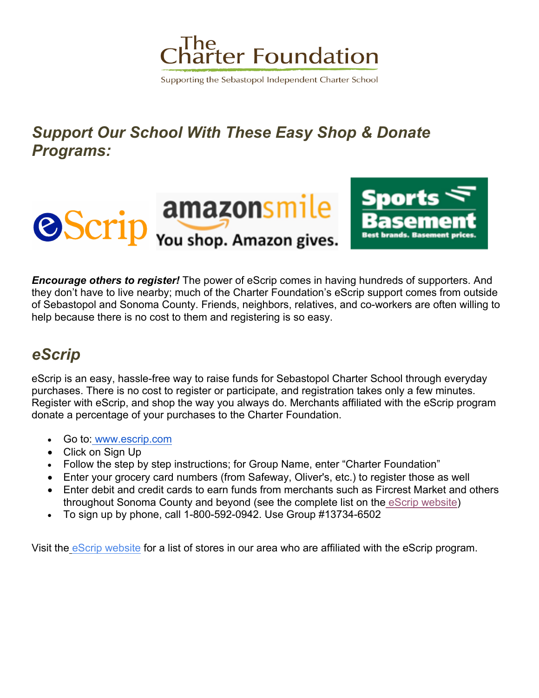

Supporting the Sebastopol Independent Charter School

## *Support Our School With These Easy Shop & Donate Programs:*



*Encourage others to register!* The power of eScrip comes in having hundreds of supporters. And they don't have to live nearby; much of the Charter Foundation's eScrip support comes from outside of Sebastopol and Sonoma County. Friends, neighbors, relatives, and co-workers are often willing to help because there is no cost to them and registering is so easy.

## *eScrip*

eScrip is an easy, hassle-free way to raise funds for Sebastopol Charter School through everyday purchases. There is no cost to register or participate, and registration takes only a few minutes. Register with eScrip, and shop the way you always do. Merchants affiliated with the eScrip program donate a percentage of your purchases to the Charter Foundation.

- Go to: www.escrip.com
- Click on Sign Up
- Follow the step by step instructions; for Group Name, enter "Charter Foundation"
- Enter your grocery card numbers (from Safeway, Oliver's, etc.) to register those as well
- Enter debit and credit cards to earn funds from merchants such as Fircrest Market and others throughout Sonoma County and beyond (see the complete list on the eScrip website)
- To sign up by phone, call 1-800-592-0942. Use Group #13734-6502

Visit the eScrip website for a list of stores in our area who are affiliated with the eScrip program.